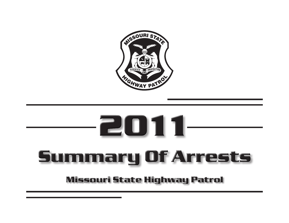

# -2011-Summary Of Arrests

# **Missouri State Highway Patrol**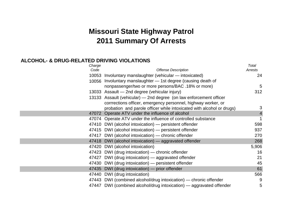# **Missouri State Highway Patrol 2011 Summary Of Arrests**

#### **ALCOHOL- & DRUG-RELATED DRIVING VIOLATIONS**

| Charge |                                                                       | Total          |
|--------|-----------------------------------------------------------------------|----------------|
| Code   | <b>Offense Description</b>                                            | Arrests        |
|        | 10053 Involuntary manslaughter (vehicular - intoxicated)              | 24             |
|        | 10056 Involuntary manslaughter - 1st degree (causing death of         |                |
|        | nonpassenger/two or more persons/BAC .18% or more)                    | 5              |
|        | 13033 Assault - 2nd degree (vehicular injury)                         | 312            |
|        | 13133 Assault (vehicular) – 2nd degree (on law enforcement officer    |                |
|        | corrrections officer, emergency personnel, highway worker, or         |                |
|        | probation and parole officer while intoxicated with alcohol or drugs) | 3              |
|        | 47072 Operate ATV under the influence of alcohol                      | $\overline{4}$ |
|        | 47074 Operate ATV under the influence of controlled substance         |                |
|        | 47410 DWI (alcohol intoxication) — persistent offender                | 598            |
|        | 47415 DWI (alcohol intoxication) — persistent offender                | 937            |
|        | 47417 DWI (alcohol intoxication) — chronic offender                   | 270            |
|        | 47418 DWI (alcohol intoxication) — aggravated offender                | 268            |
|        | 47420 DWI (alcohol intoxication)                                      | 5,906          |
|        | 47423 DWI (drug intoxication) — chronic offender                      | 16             |
|        | 47427 DWI (drug intoxication) - aggravated offender                   | 21             |
|        | 47430 DWI (drug intoxication) - persistent offender                   | 45             |
|        | 47435 DWI (drug intoxication) — prior offender                        | 61             |
|        | 47440 DWI (drug intoxication)                                         | 566            |
|        | 47443 DWI (combined alcohol/drug intoxication) — chronic offender     | 9              |
|        | 47447 DWI (combined alcohol/drug intoxication) — aggravated offender  | 5              |
|        |                                                                       |                |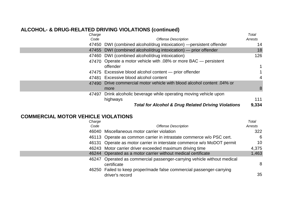#### **ALCOHOL- & DRUG-RELATED DRIVING VIOLATIONS (continued)**

| Charge |                                                                         | Total          |
|--------|-------------------------------------------------------------------------|----------------|
| Code   | <b>Offense Description</b>                                              | Arrests        |
|        | 47450 DWI (combined alcohol/drug intoxication) - persistent offender    | 14             |
|        | 47455 DWI (combined alcohol/drug intoxication) — prior offender         | 18             |
|        | 47460 DWI (combined alcohol/drug intoxication)                          | 126            |
|        | 47470 Operate a motor vehicle with .08% or more BAC — persistent        |                |
|        | offender                                                                | $\mathbf 1$    |
|        | 47475 Excessive blood alcohol content — prior offender                  |                |
|        | 47481 Excessive blood alcohol content                                   | $\overline{4}$ |
|        | 47490 Drive commercial motor vehicle with blood alcohol content .04% or |                |
|        | more                                                                    | 8              |
|        | 47497 Drink alcoholic beverage while operating moving vehicle upon      |                |
|        | highways                                                                | 111            |
|        | <b>Total for Alcohol &amp; Drug Related Driving Violations</b>          | 9,334          |

#### **COMMERCIAL MOTOR VEHICLE VIOLATIONS**

| Charge |                                                                                         | Total   |
|--------|-----------------------------------------------------------------------------------------|---------|
| Code   | <b>Offense Description</b>                                                              | Arrests |
|        | 46040 Miscellaneous motor carrier violation                                             | 322     |
|        | 46113 Operate as common carrier in intrastate commerce w/o PSC cert.                    | 6       |
|        | 46131 Operate as motor carrier in interstate commerce w/o MoDOT permit                  | 10      |
|        | 46243 Motor carrier driver exceeded maximum driving time                                | 4,375   |
|        | 46244 Operated as a motor carrier without medical certificate                           | 1,463   |
| 46247  | Operated as commercial passenger-carrying vehicle without medical<br>certificate        | 8       |
|        | 46250 Failed to keep proper/made false commercial passenger-carrying<br>driver's record | 35      |
|        |                                                                                         |         |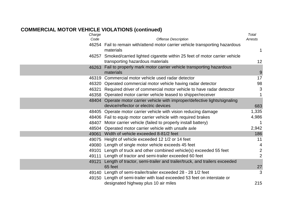#### **COMMERCIAL MOTOR VEHICLE VIOLATIONS (continued)**

| Charge |                                                                                                                    | Total          |
|--------|--------------------------------------------------------------------------------------------------------------------|----------------|
| Code   | <b>Offense Description</b>                                                                                         | Arrests        |
|        | 46254 Fail to remain with/attend motor carrier vehicle transporting hazardous<br>materials                         | 1              |
|        | 46257 Smoked/carried lighted cigarette within 25 feet of motor carrier vehicle<br>transporting hazardous materials | 12             |
| 46263  | Fail to properly mark motor carrier vehicle transporting hazardous<br>materials                                    | 9              |
| 46319  | Commercial motor vehicle used radar detector                                                                       | 17             |
|        | 46320 Operated commercial motor vehicle having radar detector                                                      | 98             |
|        | 46321 Required driver of commercial motor vehicle to have radar detector                                           | 3              |
|        | 46358 Operated motor carrier vehicle leased to shipper/receiver                                                    | 1              |
|        | 48404 Operate motor carrier vehicle with improper/defective lights/signaling                                       |                |
|        | device/reflector or electric devices                                                                               | 683            |
|        | 48405 Operate motor carrier vehicle with vision reducing damage                                                    | 1,335          |
|        | 48406 Fail to equip motor carrier vehicle with required brakes                                                     | 4,986          |
|        | 48407 Motor carrier vehicle (failed to properly install battery)                                                   | 1              |
|        | 48504 Operated motor carrier vehicle with unsafe axle                                                              | 2,942          |
| 49061  | Width of vehicle exceeded 8-81/2 feet                                                                              | 186            |
| 49075  | Height of vehicle exceeded 12 1/2 or 14 feet                                                                       | 11             |
|        | 49080 Length of single motor vehicle exceeds 45 feet                                                               | 4              |
| 49101  | Length of truck and other combined vehicle(s) exceeded 55 feet                                                     | $\overline{2}$ |
|        | 49111 Length of tractor and semi-trailer exceeded 60 feet                                                          | $\overline{2}$ |
| 49121  | Length of tractor, semi-trailer and trailer/truck, and trailers exceeded<br>65 feet                                | 27             |
| 49140  | Length of semi-trailer/trailer exceeded 28 - 28 1/2 feet                                                           | 3              |
|        | 49150 Length of semi-trailer with load exceeded 53 feet on interstate or                                           |                |
|        | designated highway plus 10 air miles                                                                               | 215            |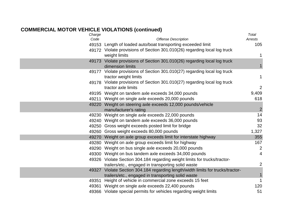#### **COMMERCIAL MOTOR VEHICLE VIOLATIONS (continued)**

| Charge |                                                                                                    | Total          |
|--------|----------------------------------------------------------------------------------------------------|----------------|
| Code   | <b>Offense Description</b>                                                                         | Arrests        |
|        | 49153 Length of loaded auto/boat transporting exceeded limit                                       | 105            |
|        | 49172 Violate provisions of Section 301.010(26) regarding local log truck<br>weight limits         | 1              |
|        | 49173 Violate provisions of Section 301.010(26) regarding local log truck<br>dimension limits      | 1              |
|        | 49177 Violate provisions of Section 301.010(27) regarding local log truck<br>tractor weight limits | 1              |
|        | 49178 Violate provisions of Section 301.010(27) regarding local log truck<br>tractor axle limits   | $\overline{2}$ |
|        | 49195 Weight on tandem axle exceeds 34,000 pounds                                                  | 9,409          |
|        | 49211 Weight on single axle exceeds 20,000 pounds                                                  | 618            |
|        | 49220 Weight on steering axle exceeds 12,000 pounds/vehicle<br>manufacturer's rating               | $\overline{2}$ |
|        | 49230 Weight on single axle exceeds 22,000 pounds                                                  | 14             |
|        | 49240 Weight on tandem axle exceeds 36,000 pounds                                                  | 93             |
|        | 49250 Gross weight exceeds posted limit for bridge                                                 | 32             |
|        | 49260 Gross weight exceeds 80,000 pounds                                                           | 1,327          |
|        | 49270 Weight on axle group exceeds limit for interstate highway                                    | 355            |
|        | 49280 Weight on axle group exceeds limit for highway                                               | 167            |
|        | 49290 Weight on bus single axle exceeds 20,000 pounds                                              | $\overline{2}$ |
|        | 49300 Weight on bus tandem axle exceeds 34,000 pounds                                              | $\overline{4}$ |
|        | 49326 Violate Section 304.184 regarding weight limits for trucks/tractor-                          |                |
|        | trailers/etc., engaged in transporting solid waste                                                 | $\overline{2}$ |
|        | 49327 Violate Section 304.184 regarding length/width limits for trucks/tractor-                    |                |
|        | trailers/etc., engaged in transporting solid waste                                                 | $\mathbf{1}$   |
| 49351  | Height of vehicle in commercial zone exceeds 15 feet                                               | $\mathbf{1}$   |
|        | 49361 Weight on single axle exceeds 22,400 pounds                                                  | 120            |
|        | 49366 Violate special permits for vehicles regarding weight limits                                 | 51             |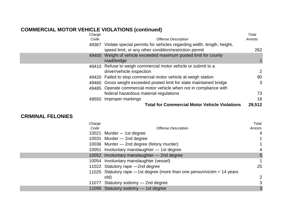# **COMMERCIAL MOTOR VEHICLE VIOLATIONS (continued)**

| Charge |                                                                                                                                 | Total   |
|--------|---------------------------------------------------------------------------------------------------------------------------------|---------|
| Code   | <b>Offense Description</b>                                                                                                      | Arrests |
| 49367  | Violate special permits for vehicles regarding width, length, height,<br>speed limit, or any other condition/restriction permit | 262     |
| 49400  | Weight of vehicle exceeded maximum posted limit for county<br>road/bridge                                                       |         |
|        | 49410 Refuse to weigh commercial motor vehicle or submit to a<br>driver/vehicle inspection                                      | 2       |
|        | 49420 Failed to stop commercial motor vehicle at weigh station                                                                  | 90      |
|        | 49460 Gross weight exceeded posted limit for state maintained bridge                                                            | 3       |
|        | 49485 Operate commercial motor vehicle when not in compliance with                                                              |         |
|        | federal hazardous material regulations                                                                                          | 73      |
| 49550  | Improper markings                                                                                                               | 16      |
|        | <b>Total for Commercial Motor Vehicle Violations</b>                                                                            | 29,512  |

#### **CRIMINAL FELONIES**

| Charge |                                                                               | Total   |
|--------|-------------------------------------------------------------------------------|---------|
| Code   | <b>Offense Description</b>                                                    | Arrests |
|        | 10021 Murder - 1st degree                                                     | 4       |
|        | 10031 Murder - 2nd degree                                                     | 1       |
|        | 10036 Murder - 2nd degree (felony murder)                                     | 1       |
|        | 10051 Involuntary manslaughter - 1st degree                                   | 4       |
|        | 10052 Involuntary manslaughter - 2nd degree                                   | 5       |
|        | 10054 Involuntary manslaughter (vessel)                                       | 1       |
|        | 11022 Statutory rape - 2nd degree                                             | 25      |
|        | 11025 Statutory rape $-$ 1st degree (more than one person/victim $<$ 14 years |         |
|        | old)                                                                          | 2       |
|        | 11077 Statutory sodomy - 2nd degree                                           | 3       |
|        | 11095 Statutory sodomy - 1st degree                                           | 3       |
|        |                                                                               |         |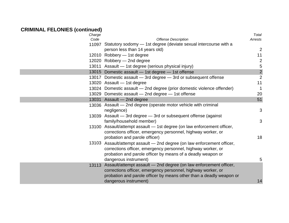| Charge |                                                                         | Total          |
|--------|-------------------------------------------------------------------------|----------------|
| Code   | <b>Offense Description</b>                                              | Arrests        |
|        | 11097 Statutory sodomy - 1st degree (deviate sexual intercourse with a  |                |
|        | person less than 14 years old)                                          | $\overline{2}$ |
|        | 12010 Robbery - 1st degree                                              | 11             |
|        | 12020 Robbery - 2nd degree                                              | $\overline{c}$ |
|        | 13011 Assault - 1st degree (serious physical injury)                    | 5              |
|        | 13015 Domestic assault - 1st degree - 1st offense                       | $\overline{2}$ |
|        | 13017 Domestic assault - 3rd degree - 3rd or subsequent offense         | $\overline{2}$ |
|        | 13020 Assault - 1st degree                                              | 11             |
|        | 13024 Domestic assault - 2nd degree (prior domestic violence offender)  | $\mathbf{1}$   |
|        | 13029 Domestic assault - 2nd degree - 1st offense                       | 20             |
|        | 13031 Assault - 2nd degree                                              | 51             |
|        | 13036 Assault - 2nd degree (operate motor vehicle with criminal         |                |
|        | negligence)                                                             | 3              |
|        | 13039 Assault - 3rd degree - 3rd or subsequent offense (against         |                |
|        | family/household member)                                                | 3              |
|        | 13100 Assault/attempt assault - 1st degree (on law enforcement officer, |                |
|        | corrections officer, emergency personnel, highway worker, or            |                |
|        | probation and parole officer)                                           | 18             |
| 13103  | Assault/attempt assault - 2nd degree (on law enforcement officer,       |                |
|        | corrections officer, emergency personnel, highway worker, or            |                |
|        | probation and parole officer by means of a deadly weapon or             |                |
|        | dangerous instrument)                                                   | 5              |
| 13113  | Assault/attempt assault - 2nd degree (on law enforcement officer,       |                |
|        | corrections officer, emergency personnel, highway worker, or            |                |
|        | probation and parole officer by means other than a deadly weapon or     |                |
|        | dangerous instrument)                                                   | 14             |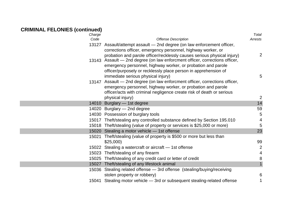| Charge |                                                                                                                                                        | Total                |
|--------|--------------------------------------------------------------------------------------------------------------------------------------------------------|----------------------|
| Code   | <b>Offense Description</b>                                                                                                                             | <b>Arrests</b>       |
|        | 13127 Assault/attempt assault - 2nd degree (on law enforcement officer,                                                                                |                      |
|        | corrections officer, emergency personnel, highway worker, or                                                                                           |                      |
|        | probation and parole officer/recklessly causes serious physical injury)<br>13143 Assault - 2nd degree (on law enforcment officer, corrections officer, | $\overline{2}$       |
|        | emergency personnel, highway worker, or probation and parole                                                                                           |                      |
|        | officer/purposely or recklessly place person in apprehension of                                                                                        |                      |
|        | immediate serious physical injury)                                                                                                                     | 5                    |
|        | 13147 Assault - 2nd degree (on law enforcment officer, corrections officer,                                                                            |                      |
|        | emergency personnel, highway worker, or probation and parole                                                                                           |                      |
|        | officer/acts with criminal negligence create risk of death or serious                                                                                  |                      |
|        | physical injury)                                                                                                                                       | $\overline{2}$<br>14 |
|        | 14010 Burglary - 1st degree                                                                                                                            | 59                   |
|        | 14020 Burglary - 2nd degree                                                                                                                            |                      |
|        | 14030 Possession of burglary tools                                                                                                                     | 5                    |
|        | 15017 Theft/stealing any controlled substance defined by Section 195.010                                                                               | 4                    |
|        | 15018 Theft/stealing (value of property or services is \$25,000 or more)                                                                               | 5                    |
|        | 15020 Stealing a motor vehicle - 1st offense                                                                                                           | 23                   |
| 15021  | Theft/stealing (value of property is \$500 or more but less than                                                                                       |                      |
|        | \$25,000                                                                                                                                               | 99                   |
|        | 15022 Stealing a watercraft or aircraft - 1st offense                                                                                                  | $\overline{2}$       |
|        | 15023 Theft/stealing of any firearm                                                                                                                    | 4                    |
|        | 15025 Theft/stealing of any credit card or letter of credit                                                                                            | 8                    |
|        | 15027 Theft/stealing of any lifestock animal                                                                                                           | $\mathbf{1}$         |
|        | 15036 Stealing related offense - 3rd offense (stealing/buying/receiving<br>stolen property or robbery)                                                 | 6                    |
|        | 15041 Stealing motor vehicle - 3rd or subsequent stealing-related offense                                                                              | 1                    |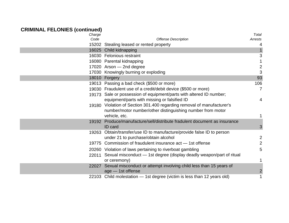| Charge |                                                                            | Total          |
|--------|----------------------------------------------------------------------------|----------------|
| Code   | <b>Offense Description</b>                                                 | Arrests        |
|        | 15202 Stealing leased or rented property                                   | 4              |
|        | 16025 Child kidnapping                                                     |                |
|        | 16030 Felonious restraint                                                  | 3              |
|        | 16080 Parental kidnapping                                                  |                |
|        | 17020 Arson - 2nd degree                                                   | $\overline{2}$ |
|        | 17030 Knowingly burning or exploding                                       | 3              |
|        | 18010 Forgery                                                              | 93             |
|        | 19013 Passing a bad check (\$500 or more)                                  | 106            |
|        | 19030 Fraudulent use of a credit/debit device (\$500 or more)              | $\overline{7}$ |
|        | 19173 Sale or possession of equipment/parts with altered ID number;        |                |
|        | equipment/parts with missing or falsified ID                               | 4              |
|        | 19180 Violation of Section 301.400 regarding removal of manufacturer's     |                |
|        | number/motor number/other distinguishing number from motor                 |                |
|        | vehicle, etc.                                                              | 1              |
|        | 19192 Produce/manufacture/sell/distribute fradulent document as insurance  |                |
|        | ID card                                                                    | 3              |
|        | 19263 Obtain/transfer/use ID to manufacture/provide false ID to person     |                |
|        | under 21 to purchase/obtain alcohol                                        | $\overline{2}$ |
|        | 19775 Commission of fraudulent insurance act - 1st offense                 | $\overline{2}$ |
|        | 20260 Violation of laws pertaining to riverboat gambling                   | 5              |
|        | 22011 Sexual misconduct — 1st degree (display deadly weapon/part of ritual |                |
|        | or ceremony)                                                               | 1              |
|        | 22027 Sexual misconduct or attempt involving child less than 15 years of   |                |
|        | age - 1st offense                                                          | $\overline{2}$ |
|        | 22103 Child molestation - 1st degree (victim is less than 12 years old)    | 1              |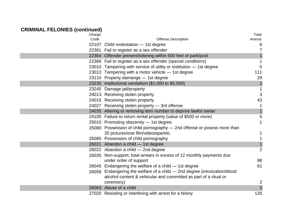| Charge |                                                                           | Total          |
|--------|---------------------------------------------------------------------------|----------------|
| Code   | <b>Offense Description</b>                                                | Arrests        |
|        | 22107 Child molestation - 1st degree                                      | 6              |
|        | 22361 Fail to register as a sex offender                                  | $\overline{7}$ |
|        | 22364 Offender present/loitering within 500 feet of park/pool             |                |
|        | 22366 Fail to register as a sex offender (special conditions)             | $\mathbf{1}$   |
|        | 23010 Tampering with service of utility or institution - 1st degree       | 5              |
|        | 23013 Tampering with a motor vehicle - 1st degree                         | 111            |
|        | 23110 Property damange - 1st degree                                       | 29             |
|        | 23230 Institutional vandalism (\$1,000 to \$5,000)                        | $\mathbf{1}$   |
|        | 23245 Damage jail/property                                                | $\mathbf{1}$   |
|        | 24013 Receiving stolen property                                           | 3              |
|        | 24015 Receiving stolen property                                           | 43             |
|        | 24027 Receiving stolen property - 3rd offense                             | $\mathbf{1}$   |
|        | 24035 Altering or removing item number to deprive lawful owner            |                |
|        | 24105 Failure to return rental property (value of \$500 or more)          | 5              |
|        | 25010 Promoting obscenity - 1st degree                                    | $\mathbf{1}$   |
|        | 25080 Possession of child pornography - 2nd offense or posess more than   |                |
|        | 20 pictures/one film/videotape/etc.                                       | 1              |
|        | 25085 Possession of child pornography                                     | 1              |
|        | 26021 Abandon a child - 1st degree                                        |                |
|        | 26022 Abandon a child - 2nd degree                                        | $\overline{2}$ |
|        | 26035 Non-support, total arrears in excess of 12 monthly payments due     |                |
|        | under order of support                                                    | 98             |
|        | 26045 Endangering the welfare of a child - 1st degree                     | 61             |
|        | 26058 Endangering the welfare of a child - 2nd degree (intoxication/blood |                |
|        | alcohol content & vehicular and committed as part of a ritual or          |                |
|        | ceremony)                                                                 | $\overline{2}$ |
|        | 26063 Abuse of a child                                                    | $\overline{2}$ |
|        | 27020 Resisting or interfering with arrest for a felony                   | 126            |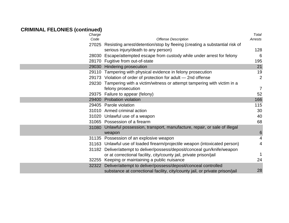|                                                                               | Total                                                                                                                                                                                                                                                                                                                                                                                                                                                                                                                                             |
|-------------------------------------------------------------------------------|---------------------------------------------------------------------------------------------------------------------------------------------------------------------------------------------------------------------------------------------------------------------------------------------------------------------------------------------------------------------------------------------------------------------------------------------------------------------------------------------------------------------------------------------------|
|                                                                               | Arrests                                                                                                                                                                                                                                                                                                                                                                                                                                                                                                                                           |
|                                                                               |                                                                                                                                                                                                                                                                                                                                                                                                                                                                                                                                                   |
|                                                                               | 128                                                                                                                                                                                                                                                                                                                                                                                                                                                                                                                                               |
|                                                                               | 6                                                                                                                                                                                                                                                                                                                                                                                                                                                                                                                                                 |
|                                                                               | 195                                                                                                                                                                                                                                                                                                                                                                                                                                                                                                                                               |
| 29030 Hindering prosecution                                                   | 21                                                                                                                                                                                                                                                                                                                                                                                                                                                                                                                                                |
| 29110 Tampering with physical evidence in felony prosecution                  | 19                                                                                                                                                                                                                                                                                                                                                                                                                                                                                                                                                |
| 29173 Violation of order of protection for adult - 2nd offense                | $\overline{2}$                                                                                                                                                                                                                                                                                                                                                                                                                                                                                                                                    |
| 29230 Tampering with a victim/witness or attempt tampering with victim in a   |                                                                                                                                                                                                                                                                                                                                                                                                                                                                                                                                                   |
| felony prosecution                                                            | $\overline{7}$                                                                                                                                                                                                                                                                                                                                                                                                                                                                                                                                    |
| 29375 Failure to appear (felony)                                              | 52                                                                                                                                                                                                                                                                                                                                                                                                                                                                                                                                                |
| 29400 Probation violation                                                     | 166                                                                                                                                                                                                                                                                                                                                                                                                                                                                                                                                               |
| 29405 Parole violation                                                        | 115                                                                                                                                                                                                                                                                                                                                                                                                                                                                                                                                               |
| 31010 Armed criminal action                                                   | 30                                                                                                                                                                                                                                                                                                                                                                                                                                                                                                                                                |
| 31020 Unlawful use of a weapon                                                | 40                                                                                                                                                                                                                                                                                                                                                                                                                                                                                                                                                |
| 31065 Possession of a firearm                                                 | 68                                                                                                                                                                                                                                                                                                                                                                                                                                                                                                                                                |
| 31080 Unlawful possession, transport, manufacture, repair, or sale of illegal |                                                                                                                                                                                                                                                                                                                                                                                                                                                                                                                                                   |
| weapon                                                                        | 6                                                                                                                                                                                                                                                                                                                                                                                                                                                                                                                                                 |
| 31135 Possession of an explosive weapon                                       | $\overline{4}$                                                                                                                                                                                                                                                                                                                                                                                                                                                                                                                                    |
| 31163 Unlawful use of loaded firearm/projectile weapon (intoxicated person)   | $\overline{4}$                                                                                                                                                                                                                                                                                                                                                                                                                                                                                                                                    |
|                                                                               |                                                                                                                                                                                                                                                                                                                                                                                                                                                                                                                                                   |
|                                                                               | 1                                                                                                                                                                                                                                                                                                                                                                                                                                                                                                                                                 |
|                                                                               | 24                                                                                                                                                                                                                                                                                                                                                                                                                                                                                                                                                |
|                                                                               |                                                                                                                                                                                                                                                                                                                                                                                                                                                                                                                                                   |
| substance at correctional facility, city/county jail, or private prison/jail  | 28                                                                                                                                                                                                                                                                                                                                                                                                                                                                                                                                                |
|                                                                               | <b>Offense Description</b><br>27025 Resisting arrest/detention/stop by fleeing (creating a substantial risk of<br>serious injury/death to any person)<br>28030 Escape/attempted escape from custody while under arrest for felony<br>28170 Fugitive from out-of-state<br>31182 Deliver/attempt to deliver/possess/deposit/conceal gun/knife/weapon<br>or at correctional facility, city/county jail, private prison/jail<br>32255 Keeping or maintaining a public nuisance<br>32322 Deliver/attempt to deliver/possess/deposit/conceal controlled |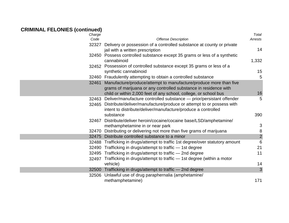| Charge   |                                                                                                | Total          |
|----------|------------------------------------------------------------------------------------------------|----------------|
| Code     | <b>Offense Description</b>                                                                     | Arrests        |
|          | 32327 Delivery or possession of a controlled substance at county or private                    |                |
|          | jail with a written prescription                                                               | 14             |
|          | 32450 Possess controlled substance except 35 grams or less of a synthetic                      |                |
|          | cannabinoid                                                                                    | 1,332          |
|          | 32452 Possession of controlled substance except 35 grams or less of a<br>synthetic cannabinoid | 15             |
|          | 32460 Fraudulently attempting to obtain a controlled substance                                 | 5              |
| 32461    | Manufacture/produce/attempt to manufacture/produce more than five                              |                |
|          | grams of marijuana or any controlled substance in residence with                               |                |
|          | child or within 2,000 feet of any school, college, or school bus                               | 16             |
| 32463    | Deliver/manufacture controlled substance - prior/persistant offender                           | 5              |
|          | 32465 Distribute/deliver/manufacture/produce or attempt to or possess with                     |                |
|          | intent to distribute/deliver/manufacture/produce a controlled                                  |                |
|          | substance                                                                                      | 390            |
|          | 32467 Distribute/deliver heroin/cocaine/cocaine base/LSD/amphetamine/                          |                |
|          | methamphetamine in or near park                                                                | $\mathbf{3}$   |
|          | 32470 Distributing or delivering not more than five grams of marijuana                         | $\, 8$         |
| 32475    | Distribute controlled substance to a minor                                                     | $\overline{2}$ |
| 32488    | Trafficking in drugs/attempt to traffic 1st degree/over statutory amount                       | 6              |
|          | 32490 Trafficking in drugs/attempt to traffic - 1st degree                                     | 21             |
|          | 32495 Trafficking in drugs/attempt to traffic - 2nd degree                                     | 11             |
| vehicle) | 32497 Trafficking in drugs/attempt to traffic - 1st degree (within a motor                     | 14             |
| 32500    | Trafficking in drugs/attempt to traffic - 2nd degree                                           | 3              |
| 32506    | Unlawful use of drug paraphernalia (amphetamine/                                               |                |
|          | methamphetamine)                                                                               | 171            |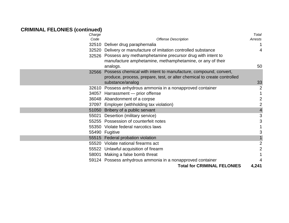| Charge         |                                                                         | Total                     |
|----------------|-------------------------------------------------------------------------|---------------------------|
| Code           | <b>Offense Description</b>                                              | Arrests                   |
|                | 32510 Deliver drug paraphernalia                                        | 1                         |
|                | 32520 Delivery or manufacture of imitation controlled substance         | 4                         |
|                | 32526 Possess any methamphetamine precursor drug with intent to         |                           |
|                | manufacture amphetamine, methamphetamine, or any of their               |                           |
|                | analogs.                                                                | 50                        |
| 32566          | Possess chemical with intent to manufacture, compound, convert,         |                           |
|                | produce, process, prepare, test, or alter chemical to create controlled |                           |
|                | substance/analog                                                        | 33                        |
| 32610          | Possess anhydrous ammonia in a nonapproved container                    | 2                         |
|                | 34057 Harrassment - prior offense                                       |                           |
|                | 36048 Abandonment of a corpse                                           | $\overline{2}$            |
|                | 37097 Employer (withholding tax violation)                              | $\overline{2}$            |
|                | 51050 Bribery of a public servant                                       | $\overline{4}$            |
| 55021          | Desertion (military service)                                            | $\ensuremath{\mathsf{3}}$ |
|                | 55255 Possession of counterfeit notes                                   | 3                         |
|                | 55350 Violate federal narcotics laws                                    |                           |
| 55490 Fugitive |                                                                         | 3                         |
|                | 55515 Federal probation violation                                       |                           |
|                | 55520 Violate national firearms act                                     | $\mathbf{2}$              |
|                | 55522 Unlawful acquisition of firearm                                   | $\overline{2}$            |
|                | 58001 Making a false bomb threat                                        |                           |
|                | 59124 Possess anhydrous ammonia in a nonapproved container              |                           |
|                | <b>Total for CRIMINAL FELONIES</b>                                      | 4,241                     |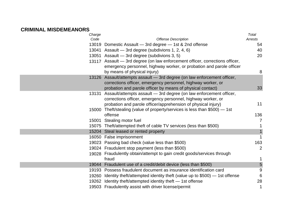#### **CRIMINAL MISDEMEANORS**

| Charge |                                                                                 | Total           |
|--------|---------------------------------------------------------------------------------|-----------------|
| Code   | <b>Offense Description</b>                                                      | Arrests         |
| 13019  | Domestic Assault - 3rd degree - 1st & 2nd offense                               | 54              |
|        | 13041 Assault - 3rd degree (subdivions 1, 2, 4, 6)                              | 40              |
|        | 13051 Assault - 3rd degree (subdivions 3, 5)                                    | 20              |
|        | 13117 Assault - 3rd degree (on law enforcement officer, corrections officer,    |                 |
|        | emergency personnel, highway worker, or probation and parole officer            |                 |
|        | by means of physical injury)                                                    | 8               |
| 13126  | Assault/attempts assault - 3rd degree (on law enforcement officer,              |                 |
|        | corrections officer, emergency personnel, highway worker, or                    |                 |
|        | probation and parole officer by means of physical contact)                      | 33              |
| 13131  | Assault/attempts assault - 3rd degree (on law enforcement officer,              |                 |
|        | corrections officer, emergency personnel, highway worker, or                    |                 |
|        | probation and parole officer/apprehension of physical injury)                   | 11              |
|        | 15000 Theft/stealing (value of property/services is less than \$500) - 1st      |                 |
|        | offense                                                                         | 136             |
| 15001  | Stealing motor fuel                                                             | $\overline{7}$  |
|        | 15075 Theft/attempted theft of cable TV services (less than \$500)              | 1               |
| 15204  | Steal leased or rented property                                                 | $\mathbf{1}$    |
|        | 16050 False imprisonment                                                        | $\mathbf{1}$    |
|        | 19023 Passing bad check (value less than \$500)                                 | 163             |
|        | 19024 Fraudulent stop payment (less than \$500)                                 | $\overline{2}$  |
|        | 19028 Fraudulently obtain/attempt to gain credit goods/services through         |                 |
|        | fraud                                                                           | 1               |
|        | 19044 Fraudulent use of a credit/debit device (less than \$500)                 | 5               |
|        | 19193 Possess fraudulent document as insurance identification card              | 9               |
|        | 19260 Identity theft/attempted identity theft (value up to \$500) – 1st offense | $6\phantom{1}6$ |
|        | 19262 Identity theft/attempted identity theft - 1st offense                     | 28              |
|        | 19503 Fraudulently assist with driver license/permit                            | 1               |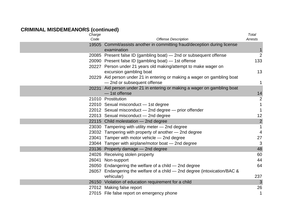| Charge |                                                                           | Total          |
|--------|---------------------------------------------------------------------------|----------------|
| Code   | <b>Offense Description</b>                                                | Arrests        |
|        | 19505 Commit/assists another in committing fraud/deception during license |                |
|        | examination                                                               | $\mathbf{1}$   |
|        | 20085 Present false ID (gambling boat) – 2nd or subsequent offense        | $\overline{2}$ |
|        | 20090 Present false ID (gambling boat) - 1st offense                      | 133            |
|        | 20227 Person under 21 years old making/attempt to make wager on           |                |
|        | excursion gambling boat                                                   | 13             |
|        | 20229 Aid person under 21 in entering or making a wager on gambling boat  |                |
|        | -2nd or subsequent offense                                                | 1              |
|        | 20231 Aid person under 21 in entering or making a wager on gambling boat  |                |
|        | - 1st offense                                                             | 14             |
|        | 21010 Prostitution                                                        | $\overline{2}$ |
|        | 22010 Sexual misconduct - 1st degree                                      | 1              |
|        | 22012 Sexual misconduct - 2nd degree - prior offender                     | 1              |
|        | 22013 Sexual misconduct - 2nd degree                                      | 12             |
|        | 22115 Child molestation - 2nd degree                                      | $\overline{2}$ |
|        | 23030 Tampering with utility meter - 2nd degree                           | $\mathbf{1}$   |
|        | 23032 Tampering with property of another - 2nd degree                     | 4              |
|        | 23041 Tamper with motor vehicle - 2nd degree                              | 27             |
|        | 23044 Tamper with airplane/motor boat - 2nd degree                        | 3              |
|        | 23136 Property damage - 2nd degree                                        | 48             |
|        | 24026 Receiving stolen property                                           | 60             |
|        | 26041 Non-support                                                         | 44             |
|        | 26050 Endangering the welfare of a child - 2nd degree                     | 64             |
|        | 26057 Endangering the welfare of a child - 2nd degree (intoxication/BAC & |                |
|        | vehicular)                                                                | 237            |
|        | 26150 Violation of education requirement for a child                      | 3              |
|        | 27012 Making false report                                                 | 26             |
|        | 27015 File false report on emergency phone                                | 1              |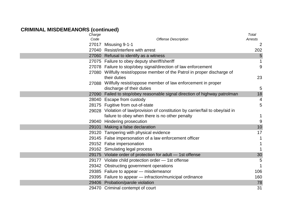| Charge |                                                                                           | Total          |
|--------|-------------------------------------------------------------------------------------------|----------------|
| Code   | <b>Offense Description</b>                                                                | Arrests        |
|        | 27017 Misusing 9-1-1                                                                      | $\overline{2}$ |
|        | 27040 Resist/interfere with arrest                                                        | 202            |
|        | 27060 Refusal to identify as a witness                                                    | 5              |
|        | 27075 Failure to obey deputy sheriff/sheriff                                              | 1              |
|        | 27078 Failure to stop/obey signal/direction of law enforcement                            | 9              |
|        | 27080 Willfully resist/oppose member of the Patrol in proper discharge of<br>their duties | 23             |
|        | 27088 Willfully resist/oppose member of law enforcement in proper                         |                |
|        | discharge of their duties                                                                 | 5              |
|        | 27090 Failed to stop/obey reasonable signal direction of highway patrolman                | 18             |
|        | 28040 Escape from custody                                                                 | 4              |
|        | 28175 Fugitive from out-of-state                                                          | 5              |
|        | 29028 Violation of law/provision of constitution by carrier/fail to obey/aid in           |                |
|        | failure to obey when there is no other penalty                                            | 1              |
|        | 29040 Hindering prosecution                                                               | 9              |
|        | 29101 Making a false declaration                                                          | 10             |
|        | 29120 Tampering with physical evidence                                                    | 17             |
|        | 29145 False impersonation of a law enforcement officer                                    | 1              |
|        | 29152 False impersonation                                                                 | 1              |
|        | 29162 Simulating legal process                                                            | 1              |
|        | 29175 Violate order of protection for adult - 1st offense                                 | 30             |
|        | 29177 Violate child protection order - 1st offense                                        | 5              |
|        | 29342 Obstructing government operations                                                   | 1              |
|        | 29385 Failure to appear - misdemeanor                                                     | 106            |
|        | 29395 Failure to appear - infraction/municipal ordinance                                  | 160            |
|        | 29406 Probation/parole violation                                                          | 78             |
|        | 29470 Criminal contempt of court                                                          | 31             |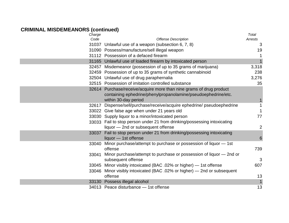| Charge |                                                                                                                                                              | Total           |
|--------|--------------------------------------------------------------------------------------------------------------------------------------------------------------|-----------------|
| Code   | <b>Offense Description</b>                                                                                                                                   | Arrests         |
|        | 31037 Unlawful use of a weapon (subsection 6, 7, 8)                                                                                                          | 3               |
|        | 31090 Possess/manufacture/sell illegal weapon                                                                                                                | 19              |
|        | 31112 Possession of a defaced firearm                                                                                                                        | 1               |
|        | 31165 Unlawful use of loaded firearm by intoxicated person                                                                                                   | $\mathbf{1}$    |
|        | 32457 Misdemeanor (possession of up to 35 grams of marijuana)                                                                                                | 3,318           |
|        | 32459 Possession of up to 35 grams of synthetic cannabinoid                                                                                                  | 238             |
|        | 32504 Unlawful use of drug paraphernalia                                                                                                                     | 3,276           |
|        | 32515 Possession of imitation controlled substance                                                                                                           | 35              |
|        | 32614 Purchase/receive/acquire more than nine grams of drug product<br>containing ephedrine/phenylpropanolamine/pseudoephedrine/etc.<br>within 30-day period |                 |
|        | 32617 Dispense/sell/purchase/receive/acquire ephedrine/ pseudoephedrine                                                                                      | $\mathbf{1}$    |
|        | 33022 Give false age when under 21 years old                                                                                                                 | $\mathbf{1}$    |
|        | 33030 Supply liquor to a minor/intoxicated person                                                                                                            | 77              |
|        | 33033 Fail to stop person under 21 from drinking/possessing intoxicating                                                                                     |                 |
|        | liquor - 2nd or subsequent offense                                                                                                                           | $\overline{2}$  |
|        | 33037 Fail to stop person under 21 from drinking/possessing intoxicating<br>liquor - 1st offense                                                             | $6\phantom{1}6$ |
| 33040  | Minor purchase/attempt to purchase or possession of liquor - 1st<br>offense                                                                                  | 739             |
|        | 33041 Minor purchase/attempt to purchase or possession of liquor – 2nd or<br>subsequent offense                                                              | 3               |
|        | 33045 Minor visibly intoxicated (BAC .02% or higher) - 1st offense                                                                                           | 607             |
|        | 33046 Minor visibly intoxicated (BAC .02% or higher) — 2nd or subsequent                                                                                     |                 |
|        | offense                                                                                                                                                      | 13              |
|        | 33130 Possess illegal alcohol                                                                                                                                | $\mathbf{1}$    |
|        | 34013 Peace disturbance - 1st offense                                                                                                                        | 13              |
|        |                                                                                                                                                              |                 |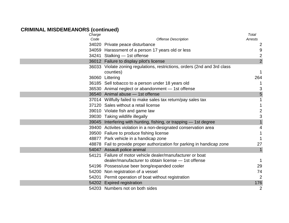| Charge |                                                                           | Total          |
|--------|---------------------------------------------------------------------------|----------------|
| Code   | <b>Offense Description</b>                                                | Arrests        |
|        | 34020 Private peace disturbance                                           | 2              |
|        | 34059 Harassment of a person 17 years old or less                         | $9\,$          |
|        | 34241 Stalking - 1st offense                                              | $\overline{2}$ |
|        | 36012 Failure to display pilot's license                                  | $\overline{2}$ |
|        | 36033 Violate zoning regulations, restrictions, orders (2nd and 3rd class |                |
|        | counties)                                                                 | $\mathbf 1$    |
|        | 36060 Littering                                                           | 264            |
|        | 36185 Sell tobacco to a person under 18 years old                         |                |
|        | 36530 Animal neglect or abandonment - 1st offense                         | 3              |
|        | 36540 Animal abuse - 1st offense                                          | 5              |
|        | 37014 Willfully failed to make sales tax return/pay sales tax             |                |
|        | 37120 Sales without a retail license                                      |                |
|        | 39010 Violate fish and game law                                           | $\overline{2}$ |
|        | 39030 Taking wildlife illegally                                           | 3              |
|        | 39045 Interfering with hunting, fishing, or trapping - 1st degree         |                |
|        | 39400 Activites violation in a non-designated conservation area           | 4              |
|        | 39500 Failure to produce fishing license                                  | 1              |
|        | 48877 Park vehicle in a handicap zone                                     |                |
|        | 48878 Fail to provide proper authorization for parking in handicap zone   | 27             |
|        | 54047 Assault police animal                                               | $\mathbf{1}$   |
|        | 54121 Failure of motor vehicle dealer/manufacturer or boat                |                |
|        | dealer/manufacturer to obtain license - 1st offense                       | 1              |
|        | 54196 Possess/use beer bong/expanded cooler                               | 29             |
|        | 54200 Non registration of a vessel                                        | 74             |
|        | 54201 Permit operation of boat without registration                       | $\overline{2}$ |
|        | 54202 Expired registration                                                | 176            |
|        | 54203 Numbers not on both sides                                           | $\overline{2}$ |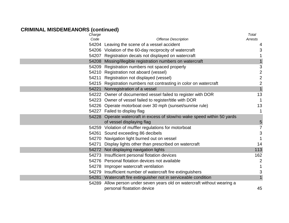| Charge |                                                                          | Total                   |
|--------|--------------------------------------------------------------------------|-------------------------|
| Code   | <b>Offense Description</b>                                               | Arrests                 |
|        | 54204 Leaving the scene of a vessel accident                             | 4                       |
|        | 54206 Violation of the 60-day reciprocity of watercraft                  | 3                       |
|        | 54207 Registration decals not displayed on watercraft                    |                         |
|        | 54208 Missing/illegible registration numbers on watercraft               |                         |
|        | 54209 Registration numbers not spaced properly                           | 3                       |
|        | 54210 Registration not aboard (vessel)                                   | $\overline{\mathbf{c}}$ |
|        | 54211 Registration not displayed (vessel)                                | $\overline{c}$          |
|        | 54215 Registration numbers not contrasting in color on watercraft        | $\overline{c}$          |
|        | 54221 Nonregistration of a vessel                                        | $\overline{1}$          |
|        | 54222 Owner of documented vessel failed to register with DOR             | 13                      |
|        | 54223 Owner of vessel failed to register/title with DOR                  | 1                       |
|        | 54226 Operate motorboat over 30 mph (sunset/sunrise rule)                | 13                      |
|        | 54227 Failed to display flag                                             | 1                       |
|        | 54228 Operate watercraft in excess of slow/no wake speed within 50 yards |                         |
|        | of vessel displaying flag                                                | 5                       |
|        | 54259 Violation of muffler regulations for motorboat                     | 7                       |
|        | 54261 Sound exceeding 86 decibels                                        | 3                       |
|        | 54270 Navigation light burned out on vessel                              |                         |
|        | 54271 Display lights other than prescribed on watercraft                 | 14                      |
|        | 54272 Not displaying navigation lights                                   | 113                     |
|        | 54273 Insufficient personal flotation devices                            | 162                     |
|        | 54276 Personal flotation devices not available                           | $\overline{c}$          |
|        | 54278 Improper watercraft ventilation                                    |                         |
|        | 54279 Insufficient number of watercraft fire extinguishers               | 3                       |
|        | 54281 Watercraft fire extinguisher not in serviceable condition          | 1                       |
| 54289  | Allow person under seven years old on watercraft without wearing a       |                         |
|        | personal floatation device                                               | 45                      |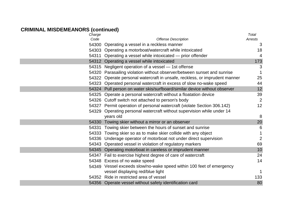| Total                                                                                   |
|-----------------------------------------------------------------------------------------|
| <b>Offense Description</b><br>Arrests                                                   |
| 54300 Operating a vessel in a reckless manner<br>3                                      |
| 54303 Operating a motorboat/watercraft while intoxicated<br>18                          |
| $\overline{\mathcal{A}}$<br>54311 Operating a vessel while intoxicated — prior offender |
| 173                                                                                     |
| 54315 Negligent operation of a vessel – 1st offense<br>3                                |
| 54320 Parasailing violation without observer/between sunset and sunrise<br>1            |
| 25<br>54322 Operate personal watercraft in unsafe, reckless, or imprudent manner        |
| 54323 Operated personal watercraft in excess of slow no-wake speed<br>44                |
| 12<br>54324 Pull person on water skis/surfboard/similar device without observer         |
| 39<br>54325 Operate a personal watercraft without a floatation device                   |
| $\overline{2}$<br>54326 Cutoff switch not attached to person's body                     |
| 12<br>54327 Permit operation of personal watercraft (violate Section 306.142)           |
| 54329 Operating personal watercraft without supervision while under 14                  |
| 8                                                                                       |
| 20<br>54330 Towing skier without a mirror or an observer                                |
| 54331 Towing skier between the hours of sunset and sunrise<br>6                         |
| 54333 Towing skier so as to make skier collide with any object<br>1                     |
| $\overline{2}$<br>54336 Underage operator of motorboat not under direct supervision     |
| 54343 Operated vessel in violation of regulatory markers<br>69                          |
| 54345 Operating motorboat in careless or imprudent manner<br>10                         |
| 24<br>54347 Fail to exercise highest degree of care of watercraft                       |
| 14                                                                                      |
| 54349 Vessel exceeds slow/no-wake speed within 100 feet of emergency                    |
| $\mathbf{1}$                                                                            |
| 133                                                                                     |
| 80<br>54356 Operate vessel without safety identification card                           |
|                                                                                         |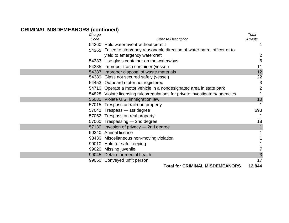| Charge |                                                                              | <b>Total</b>   |
|--------|------------------------------------------------------------------------------|----------------|
| Code   | <b>Offense Description</b>                                                   | Arrests        |
|        | 54360 Hold water event without permit                                        |                |
|        | 54365 Failed to stop/obey reasonable direction of water patrol officer or to |                |
|        | yield to emergency watercraft                                                | $\overline{2}$ |
|        | 54383 Use glass container on the waterways                                   | 6              |
|        | 54385 Improper trash container (vessel)                                      | 11             |
|        | 54387 Improper disposal of waste materials                                   | 12             |
|        | 54389 Glass not secured safely (vessel)                                      | 22             |
|        | 54453 Outboard motor not registered                                          | 3              |
|        | 54710 Operate a motor vehicle in a nondesignated area in state park          | 2              |
|        | 54828 Violate licensing rules/regulations for private investigators/agencies |                |
|        | 55030 Violate U.S. immigration law                                           | 10             |
|        | 57015 Trespass on railroad property                                          | $\mathbf 1$    |
|        | 57042 Trespass - 1st degree                                                  | 693            |
|        | 57052 Trespass on real property                                              |                |
|        | 57060 Trespassing - 2nd degree                                               | 18             |
|        | 57130 Invasion of privacy - 2nd degree                                       |                |
|        | 90340 Animal license                                                         |                |
|        | 93430 Miscellaneous non-moving violation                                     |                |
|        | 99010 Hold for safe keeping                                                  |                |
|        | 99020 Missing juvenile                                                       | 7              |
|        | 99045 Detain for mental health                                               | 3              |
|        | 99050 Conveyed unfit person                                                  | 17             |
|        | TALAL LAY ADIMINIAI                                                          | <b>011</b>     |

**Total for CRIMINAL MISDEMEANORS 12,844**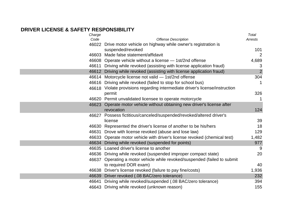#### **DRIVER LICENSE & SAFETY RESPONSIBILITY**

| Charge |                                                                                  | Total   |
|--------|----------------------------------------------------------------------------------|---------|
| Code   | <b>Offense Description</b>                                                       | Arrests |
|        | 46022 Drive motor vehicle on highway while owner's registration is               |         |
|        | suspended/revoked                                                                | 101     |
|        | 46603 Made false statement/affidavit                                             | 2       |
|        | 46608 Operate vehicle without a license - 1st/2nd offense                        | 4,689   |
|        | 46611 Driving while revoked (assisting with license application fraud)           | 3       |
|        | 46612 Driving while revoked (assisting with license application fraud)           | 2       |
|        | 46614 Motorcycle license not valid - 1st/2nd offense                             | 304     |
|        | 46616 Driving while revoked (failed to stop for school bus)                      | 1       |
|        | 46618 Violate provisions regarding intermediate driver's license/instruction     |         |
|        | permit                                                                           | 326     |
|        | 46620 Permit unvalidated licensee to operate motorcycle                          | 1       |
| 46623  | Operate motor vehicle without obtaining new driver's license after<br>revocation | 124     |
| 46627  | Possess fictitious/canceled/suspended/revoked/altered driver's                   |         |
|        | license                                                                          | 39      |
|        | 46630 Represented the driver's license of another to be his/hers                 | 18      |
|        | 46631 Drove with license revoked (abuse and lose law)                            | 129     |
|        | 46633 Operate motor vehicle with driver's license revoked (chemical test)        | 1,482   |
|        | 46634 Driving while revoked (suspended for points)                               | 977     |
| 46635  | Loaned driver's license to another                                               | 9       |
|        | 46636 Driving while revoked (suspended improper compact state)                   | 20      |
|        | 46637 Operating a motor vehicle while revoked/suspended (failed to submit        |         |
|        | to required DOR exam)                                                            | 40      |
|        | 46638 Driver's license revoked (failure to pay fine/costs)                       | 1,936   |
|        | 46639 Driver revoked (.08 BAC/zero tolerance)                                    | 232     |
| 46641  | Driving while revoked/suspended (.08 BAC/zero tolerance)                         | 394     |
|        | 46643 Driving while revoked (unknown reason)                                     | 155     |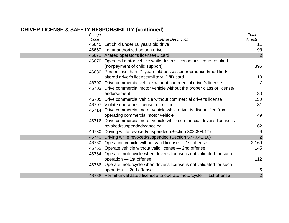# **DRIVER LICENSE & SAFETY RESPONSIBILITY (continued)**

| Charge |                                                                           | Total          |
|--------|---------------------------------------------------------------------------|----------------|
| Code   | <b>Offense Description</b>                                                | Arrests        |
|        | 46645 Let child under 16 years old drive                                  | 11             |
|        | 46650 Let unauthorized person drive                                       | 98             |
|        | 46671 Altered operator's license/ID card                                  | $\overline{2}$ |
|        | 46679 Operated motor vehicle while driver's license/priviledge revoked    |                |
|        | (nonpayment of child support)                                             | 395            |
|        | 46680 Person less than 21 years old possessed reproduced/modified/        |                |
|        | altered driver's license/military ID/ID card                              | 10             |
| 46700  | Drive commercial vehicle without commercial driver's license              | $\overline{7}$ |
|        | 46703 Drive commercial motor vehicle without the proper class of license/ |                |
|        | endorsement                                                               | 80             |
|        | 46705 Drive commercial vehicle without commercial driver's license        | 150            |
|        | 46707 Violate operator's license restriction                              | 31             |
|        | 46714 Drive commercial motor vehicle while driver is disqualified from    |                |
|        | operating commercial motor vehicle                                        | 49             |
|        | 46716 Drive commercial motor vehicle while commercial driver's license is |                |
|        | revoked/suspended/canceled                                                | 162            |
|        | 46730 Driving while revoked/suspended (Section 302.304.17)                | 9              |
| 46740  | Driving while revoked/suspended (Section 577.041.10)                      | $\overline{2}$ |
| 46760  | Operating vehicle without valid license - 1st offense                     | 2,169          |
|        | 46762 Operate vehicle without valid license – 2nd offense                 | 145            |
|        | 46764 Operate motorcycle when driver's license is not validated for such  |                |
|        | operation - 1st offense                                                   | 112            |
|        | 46766 Operate motorcycle when driver's license is not validated for such  |                |
|        | operation - 2nd offense                                                   | 5              |
|        | 46768 Permit unvalidated licensee to operate motorcycle - 1st offense     | $\overline{2}$ |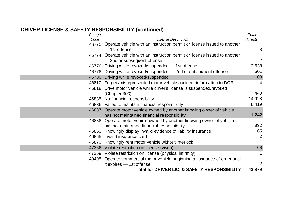# **DRIVER LICENSE & SAFETY RESPONSIBILITY (continued)**

| Charge |                                                                               | Total          |
|--------|-------------------------------------------------------------------------------|----------------|
| Code   | <b>Offense Description</b>                                                    | Arrests        |
|        | 46770 Operate vehicle with an instruction permit or license issued to another |                |
|        | - 1st offense                                                                 | 3              |
|        | 46774 Operate vehicle with an instruction permit or license issued to another |                |
|        | - 2nd or subsequent offense                                                   | $\overline{2}$ |
|        | 46776 Driving while revoked/suspended - 1st offense                           | 2,638          |
|        | 46778 Driving while revoked/suspended – 2nd or subsequent offense             | 501            |
|        | 46780 Driving while revoked/suspended                                         | 108            |
|        | 46810 Forged/misrepresented motor vehicle accident information to DOR         | 4              |
|        | 46818 Drive motor vehicle while driver's license is suspended/revoked         |                |
|        | (Chapter 303)                                                                 | 440            |
|        | 46835 No financial responsibility                                             | 14,928         |
|        | 46836 Failed to maintain financial responsibility                             | 8,419          |
|        | 46837 Operate motor vehicle owned by another knowing owner of vehicle         |                |
|        | has not maintained financial responsibility                                   | 1,242          |
|        | 46838 Operate motor vehicle owned by another knowing owner of vehicle         |                |
|        | has not maintaned financial responsibility                                    | 932            |
| 46863  | Knowingly display invalid evidence of liability insurance                     | 165            |
| 46865  | Invalid insurance card                                                        | $\overline{2}$ |
|        | 46870 Knowingly rent motor vehicle without interlock                          |                |
| 47366  | Violate restriction on license (vison)                                        | 68             |
|        | 47369 Violate restriction on license (physical infirmity)                     | 1              |
|        | 49495 Operate commercial motor vehicle beginning at issuance of order until   |                |
|        | it expires $-$ 1st offense                                                    | 2              |
|        | <b>Total for DRIVER LIC. &amp; SAFETY RESPONSIBILITY</b>                      | 43,879         |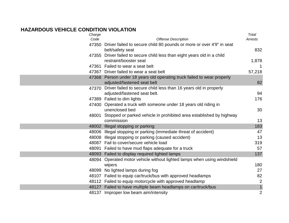#### **HAZARDOUS VEHICLE CONDITION VIOLATION**

| Charge |                                                                            | Total          |
|--------|----------------------------------------------------------------------------|----------------|
| Code   | <b>Offense Description</b>                                                 | Arrests        |
|        | 47350 Driver failed to secure child 80 pounds or more or over 4'9" in seat |                |
|        | belt/safety seat                                                           | 832            |
| 47355  | Driver failed to secure child less than eight years old in a child         |                |
|        | restraint/booster seat                                                     | 1,878          |
|        | 47361 Failed to wear a seat belt                                           | 1              |
|        | 47367 Driver failed to wear a seat belt                                    | 57,218         |
|        | 47368 Person under 18 years old operating truck failed to wear properly    |                |
|        | adjusted/fastened seat belt                                                | 82             |
| 47370  | Driver failed to secure child less than 16 years old in properly           |                |
|        | adjusted/fastened seat belt.                                               | 94             |
|        | 47389 Failed to dim lights                                                 | 176            |
|        | 47400 Operated a truck with someone under 18 years old riding in           |                |
|        | unenclosed bed                                                             | 30             |
| 48001  | Stopped or parked vehicle in prohibited area established by highway        |                |
|        | commission                                                                 | 13             |
|        | 48002 Illegal stopping or parking                                          | 183            |
|        | 48006 Illegal stopping or parking (immediate threat of accident)           | 47             |
|        | 48008 Illegal stopping or parking (caused accident)                        | 13             |
|        | 48087 Fail to cover/secure vehicle load                                    | 319            |
|        | 48091 Failed to have mud flaps adequate for a truck                        | 57             |
|        | 48093 Failed to display required lighted lamps                             | 137            |
| 48094  | Operated motor vehicle without lighted lamps when using windshield         |                |
|        | wipers                                                                     | 180            |
|        | 48099 No lighted lamps during fog                                          | 27             |
|        | 48107 Failed to equip car/truck/bus with approved headlamps                | 82             |
|        | 48112 Failed to equip motorcycle with approved headlamp                    | $\overline{2}$ |
|        | 48127 Failed to have multiple beam headlamps on car/truck/bus              | $\mathbf{1}$   |
|        | 48137 Improper low beam aim/intensity                                      | $\overline{2}$ |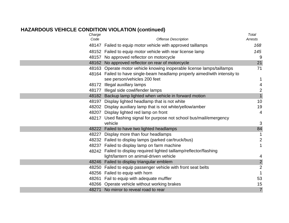#### **HAZARDOUS VEHICLE CONDITION VIOLATION (continued)**

| Charge |                                                                            | <b>Total</b>            |
|--------|----------------------------------------------------------------------------|-------------------------|
| Code   | <b>Offense Description</b>                                                 | Arrests                 |
|        | 48147 Failed to equip motor vehicle with approved taillamps                | 168                     |
|        | 48152 Failed to equip motor vehicle with rear license lamp                 | 145                     |
|        | 48157 No approved reflector on motorcycle                                  | 9                       |
|        | 48162 No approved reflector on rear of motorcycle                          | 21                      |
|        | 48163 Operate motor vehicle knowing inoperable license lamps/taillamps     | 71                      |
|        | 48164 Failed to have single-beam headlamp properly aimed/with intensity to |                         |
|        | see person/vehicles 200 feet                                               | 1                       |
|        | 48172 Illegal auxillary lamps                                              | $\overline{\mathbf{4}}$ |
|        | 48177 Illegal side cowl/fender lamps                                       | $\overline{c}$          |
|        | 48182 Backup lamp lighted when vehicle in forward motion                   | $\mathbf{1}$            |
|        | 48197 Display lighted headlamp that is not white                           | 10                      |
|        | 48202 Display auxiliary lamp that is not white/yellow/amber                | 19                      |
|        | 48207 Display lighted red lamp on front                                    | $\overline{4}$          |
|        | 48217 Used flashing signal for purpose not school bus/mail/emergency       |                         |
|        | vehicle                                                                    | 3                       |
|        | 48222 Failed to have two lighted headlamps                                 | 84                      |
|        | 48227 Display more than four headlamps                                     | $\mathbf{1}$            |
|        | 48232 Failed to display lamps (parked car/truck/bus)                       | $\overline{2}$          |
|        | 48237 Failed to display lamp on farm machine                               | 1                       |
|        | 48242 Failed to display required lighted taillamp/reflector/flashing       |                         |
|        | light/lantern on animal-driven vehicle                                     | 4                       |
|        | 48246 Failed to display triangular emblem                                  | $\overline{2}$          |
|        | 48250 Failed to equip passenger vehicle with front seat belts              | $\mathbf{2}$            |
|        | 48256 Failed to equip with horn                                            | $\mathbf{1}$            |
|        | 48261 Fail to equip with adequate muffler                                  | 53                      |
|        | 48266 Operate vehicle without working brakes                               | 15                      |
|        | 48271 No mirror to reveal road to rear                                     | $\overline{7}$          |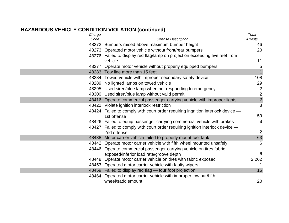# **HAZARDOUS VEHICLE CONDITION VIOLATION (continued)**

| Charge<br>Code | <b>Offense Description</b>                                                     | Total<br>Arrests |
|----------------|--------------------------------------------------------------------------------|------------------|
|                | 48272 Bumpers raised above maximum bumper height                               | 46               |
|                | 48273 Operated motor vehicle without front/rear bumpers                        | 20               |
|                | 48276 Failed to display red flag/lamp on projection exceeding five feet from   |                  |
|                | vehicle                                                                        | 11               |
|                | 48277 Operate motor vehicle without properly equipped bumpers                  | 5                |
|                | 48283 Tow line more than 15 feet                                               | $\overline{1}$   |
|                | 48284 Towed vehicle with improper secondary safety device                      | 108              |
|                | 48289 No lighted lamps on towed vehicle                                        | 29               |
|                | 48295 Used siren/blue lamp when not responding to emergency                    | $\overline{2}$   |
|                | 48300 Used siren/blue lamp without valid permit                                | $\overline{2}$   |
|                | 48416 Operate commercial passenger-carrying vehicle with improper lights       | $\overline{2}$   |
|                | 48422 Violate ignition interlock restriction                                   | 8                |
|                | 48424 Failed to comply with court order requiring ingnition interlock device - |                  |
|                | 1st offense                                                                    | 59               |
|                | 48426 Failed to equip passenger-carrying commercial vehicle with brakes        | 8                |
|                | 48427 Failed to comply with court order requiring ignition interlock device -  |                  |
|                | 2nd offense                                                                    | $\overline{2}$   |
|                | 48438 Motor carrier vehicle failed to properly mount fuel tank                 | 63               |
|                | 48442 Operate motor carrier vehicle with fifth wheel mounted unsafely          | 6                |
|                | 48446 Operate commercial passenger-carrying vehicle on tires fabric            |                  |
|                | exposed/inferior load rate/groove depth                                        | $6\phantom{1}6$  |
|                | 48448 Operate motor carrier vehicle on tires with fabric exposed               | 2,262            |
|                | 48453 Operated motor carrier vehicle with faulty wipers                        |                  |
|                | 48459 Failed to display red flag - four foot projection                        | 16               |
| 48464          | Operated motor carrier vehicle with improper tow bar/fifth                     |                  |
|                | wheel/saddlemount                                                              | 20               |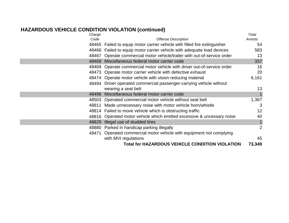# **HAZARDOUS VEHICLE CONDITION VIOLATION (continued)**

| Charge |                                                                           | Total   |
|--------|---------------------------------------------------------------------------|---------|
| Code   | <b>Offense Description</b>                                                | Arrests |
|        | 48465 Failed to equip motor carrier vehicle with filled fire extinguisher | 54      |
|        | 48466 Failed to equip motor carrier vehicle with adequate load devices    | 583     |
| 48467  | Operate commercial motor vehicle/trailer with out-of-service order        | 13      |
| 48468  | Miscellaneous federal motor carrier code                                  | 337     |
|        | 48469 Operate commercial motor vehicle with driver out-of-service order   | 16      |
|        | 48473 Operate motor carrier vehicle with defective exhaust                | 20      |
|        | 48474 Operate motor vehicle with vision reducing material                 | 6,161   |
|        | 48494 Driver operated commercial passenger-carrying vehicle without       |         |
|        | wearing a seat belt                                                       | 13      |
|        | 48496 Miscellaneous federal motor carrier code                            |         |
|        | 48503 Operated commercial motor vehicle without seat belt                 | 1,367   |
|        | 48811 Made unnecessary noise with motor vehicle horn/whistle              | 3       |
|        | 48814 Failed to move vehicle which is obstructing traffic                 | 12      |
|        | 48816 Operated motor vehicle which emitted excessive & uncessary noise    | 40      |
| 48829  | Illegal use of studded tires                                              |         |
|        | 48880 Parked in handicap parking illegally                                | 2       |
| 49471  | Operated commercial motor vehicle with equipment not complying            |         |
|        | with MVI regulations                                                      | 45      |
|        | <b>Total for HAZARDOUS VEHICLE CONDITION VIOLATION</b>                    | 73,349  |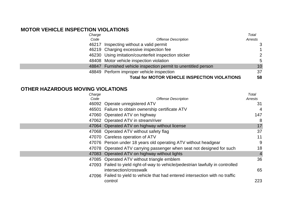#### **MOTOR VEHICLE INSPECTION VIOLATIONS**

| Charge |                                                                | Total           |
|--------|----------------------------------------------------------------|-----------------|
| Code   | <b>Offense Description</b>                                     | Arrests         |
|        | 46217 Inspecting without a valid permit                        | 3               |
|        | 46219 Charging excessive inspection fee                        |                 |
|        | 46230 Using imitation/counterfeit inspection sticker           | 2               |
|        | 48408 Motor vehicle inspection violation                       | 5               |
|        | 48847 Furnished vehicle inspection permit to unentitled person | 10 <sup>°</sup> |
|        | 48849 Perform improper vehicle inspection                      | 37              |
|        | <b>Total for MOTOR VEHICLE INSPECTION VIOLATIONS</b>           | 58              |

#### **OTHER HAZARDOUS MOVING VIOLATIONS**

| Charge |                                                                                 | Total          |
|--------|---------------------------------------------------------------------------------|----------------|
| Code   | <b>Offense Description</b>                                                      | Arrests        |
| 46092  | Operate unregistered ATV                                                        | 31             |
|        | 46501 Failure to obtain ownership certificate ATV                               | $\overline{4}$ |
|        | 47060 Operated ATV on highway                                                   | 147            |
|        | 47062 Operated ATV in stream/river                                              | 8              |
| 47064  | Operated ATV on highway without license                                         | 17             |
|        | 47068 Operated ATV without safety flag                                          | 37             |
|        | 47070 Careless operation of ATV                                                 | 11             |
|        | 47076 Person under 18 years old operating ATV without headgear                  | 9              |
|        | 47078 Operated ATV carrying passenger when seat not designed for such           | 18             |
| 47083  | Operated ATV on highway without lights                                          | $\overline{4}$ |
|        | 47085 Operated ATV without triangle emblem                                      | 36             |
|        | 47093 Failed to yield right-of-way to vehicle/pedestrian lawfully in controlled |                |
|        | intersection/crosswalk                                                          | 65             |
|        | 47096 Failed to yield to vehicle that had entered intersection with no traffic  |                |
|        | control                                                                         | 223            |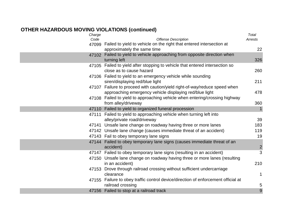| Charge |                                                                                   | <b>Total</b>            |
|--------|-----------------------------------------------------------------------------------|-------------------------|
| Code   | <b>Offense Description</b>                                                        | Arrests                 |
|        | 47099 Failed to yield to vehicle on the right that entered intersection at        |                         |
|        | approximately the same time                                                       | 22                      |
|        | 47102 Failed to yield to vehicle approaching from opposite direction when         |                         |
|        | turning left                                                                      | 326                     |
|        | 47105 Failed to yield after stopping to vehicle that entered intersection so      |                         |
|        | close as to cause hazard                                                          | 260                     |
|        | 47106 Failed to yield to an emergency vehicle while sounding                      |                         |
|        | siren/displaying red/blue light                                                   | 211                     |
|        | 47107 Failure to proceed with caution/yield right-of-way/reduce speed when        |                         |
|        | approaching emergency vehicle displaying red/blue light                           | 478                     |
|        | 47108 Failed to yield to approaching vehicle when entering/crossing highway       |                         |
|        | from alley/driveway                                                               | 360                     |
|        | 47110 Failed to yield to organized funeral procession                             | $\mathbf{1}$            |
|        | 47111 Failed to yield to approaching vehicle when turning left into               |                         |
|        | alley/private road/driveway                                                       | 39                      |
|        | 47141 Unsafe lane change on roadway having three or more lanes                    | 183                     |
|        | 47142 Unsafe lane change (causes immediate threat of an accident)                 | 119                     |
|        | 47143 Fail to obey temporary lane signs                                           | 19                      |
|        | 47144 Failed to obey temporary lane signs (causes immediate threat of an          |                         |
|        | accident)                                                                         | $\overline{\mathbf{c}}$ |
|        | 47147 Failed to obey temporary lane signs (resulting in an accident)              | 3                       |
|        | 47150 Unsafe lane change on roadway having three or more lanes (resulting         |                         |
|        | in an accident)                                                                   | 210                     |
|        | 47153 Drove through railroad crossing without sufficient undercarriage            |                         |
|        | clearance                                                                         | $\mathbf{1}$            |
|        | 47155 Failure to obey traffic control device/direction of enforcement official at |                         |
|        | railroad crossing                                                                 | 5                       |
|        | 47156 Failed to stop at a railroad track                                          | 9                       |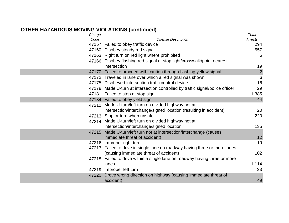| Charge |                                                                               | Total           |
|--------|-------------------------------------------------------------------------------|-----------------|
| Code   | <b>Offense Description</b>                                                    | Arrests         |
|        | 47157 Failed to obey traffic device                                           | 294             |
|        | 47160 Disobey steady red signal                                               | 557             |
|        | 47163 Right turn on red light where prohibited                                | 6               |
|        | 47166 Disobey flashing red signal at stop light/crosswalk/point nearest       |                 |
|        | intersection                                                                  | 19              |
|        | 47170 Failed to proceed with caution through flashing yellow signal           | $\overline{c}$  |
|        | 47172 Traveled in lane over which a red signal was shown                      | $6\phantom{1}6$ |
|        | 47175 Disobeyed intersection trafic control device                            | 16              |
|        | 47178 Made U-turn at intersection controlled by traffic signal/police officer | 29              |
|        | 47181 Failed to stop at stop sign                                             | 1,385           |
|        | 47184 Failed to obey yield sign                                               | 44              |
|        | 47212 Made U-turn/left turn on divided highway not at                         |                 |
|        | intersection/interchange/signed location (resulting in accident)              | 20              |
|        | 47213 Stop or turn when unsafe                                                | 220             |
|        | 47214 Made U-turn/left turn on divided highway not at                         |                 |
|        | intersection/interchange/signed location                                      | 135             |
|        | 47215 Made U-turn/left turn not at intersection/interchange (causes           |                 |
|        | immediate threat of accident)                                                 | 12              |
|        | 47216 Improper right turn                                                     | 19              |
|        | 47217 Failed to drive in single lane on roadway having three or more lanes    |                 |
|        | (causing immediate threat of accident)                                        | 102             |
|        | 47218 Failed to drive within a single lane on roadway having three or more    |                 |
|        | lanes                                                                         | 1,114           |
| 47219  | Improper left turn                                                            | 33              |
| 47220  | Drove wrong direction on highway (causing immediate threat of                 |                 |
|        | accident)                                                                     | 49              |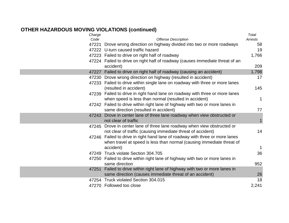| Charge |                                                                               | Total        |
|--------|-------------------------------------------------------------------------------|--------------|
| Code   | <b>Offense Description</b>                                                    | Arrests      |
| 47221  | Drove wrong direction on highway divided into two or more roadways            | 58           |
|        | 47222 U-turn caused traffic hazard                                            | 19           |
|        | 47223 Failed to drive on right half of roadway                                | 1,766        |
|        | 47224 Failed to drive on right half of roadway (causes immediate threat of an |              |
|        | accident)                                                                     | 209          |
| 47227  | Failed to drive on right half of roadway (causing an accident)                | 1,798        |
|        | 47230 Drove wrong direction on highway (resulted in accident)                 | 17           |
|        | 47233 Failed to drive within single lane on roadway with three or more lanes  |              |
|        | (resulted in accident)                                                        | 145          |
|        | 47239 Failed to drive in right hand lane on roadway with three or more lanes  |              |
|        | when speed is less than normal (resulted in accident)                         | $\mathbf{1}$ |
|        | 47242 Failed to drive within right lane of highway with two or more lanes in  |              |
|        | same direction (resulted in accident)                                         | 77           |
|        | 47243 Drove in center lane of three lane roadway when view obstructed or      |              |
|        | not clear of traffic                                                          | $\mathbf 1$  |
|        | 47245 Drove in center lane of three lane roadway when view obstructed or      |              |
|        | not clear of traffic (causing immediate threat of accident)                   | 14           |
|        | 47246 Failed to drive in right hand lane of roadway with three or more lanes  |              |
|        | when travel at speed is less than normal (causing immediate threat of         |              |
|        | accident)                                                                     | $\mathbf{1}$ |
|        | 47249 Truck violate Section 304.705                                           | 36           |
|        | 47250 Failed to drive within right lane of highway with two or more lanes in  |              |
|        | same direction                                                                | 952          |
| 47251  | Failed to drive within right lane of highway with two or more lanes in        |              |
|        | same direction (causes immediate threat of an accident)                       | 26           |
|        | 47254 Truck violated Section 304.015                                          | 18           |
|        | 47270 Followed too close                                                      | 2,241        |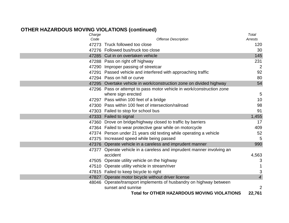| Charge |                                                                       | Total          |
|--------|-----------------------------------------------------------------------|----------------|
| Code   | <b>Offense Description</b>                                            | Arrests        |
|        | 47273 Truck followed too close                                        | 120            |
|        | 47276 Followed bus/truck too close                                    | 30             |
|        | 47285 Cut in on overtaken vehicle                                     | 145            |
|        | 47288 Pass on right off highway                                       | 231            |
|        | 47290 Improper passing of streetcar                                   | $\overline{2}$ |
|        | 47291 Passed vehicle and interfered with approaching traffic          | 92             |
|        | 47294 Pass on hill or curve                                           | 80             |
|        | 47295 Overtake vehicle in work/construction zone on divided highway   | 54             |
|        | 47296 Pass or attempt to pass motor vehicle in work/construction zone |                |
|        | where sign erected                                                    | 5              |
|        | 47297 Pass within 100 feet of a bridge                                | 10             |
|        | 47300 Pass within 100 feet of intersection/railroad                   | 98             |
|        | 47303 Failed to stop for school bus                                   | 91             |
|        | 47333 Failed to signal                                                | 1,455          |
|        | 47360 Drove on bridge/highway closed to traffic by barriers           | 17             |
|        | 47364 Failed to wear protective gear while on motorcycle              | 409            |
|        | 47374 Person under 21 years old texting while operating a vehicle     | 52             |
|        | 47375 Increased speed while being passed                              | 5              |
|        | 47376 Operate vehicle in a careless and imprudent manner              | 990            |
|        | 47377 Operate vehicle in a careless and imprudent manner involving an |                |
|        | accident                                                              | 4,563          |
|        | 47505 Operate utility vehicle on the highway                          | 3              |
|        | 47510 Operate utility vehicle in stream/river                         |                |
|        | 47815 Failed to keep bicycle to right                                 | 3              |
|        | 47827 Operate motor bicycle without driver license                    | $\overline{4}$ |
|        | 48046 Operate/transport implements of husbandry on highway between    |                |
|        | sunset and sunrise                                                    | $\overline{2}$ |
|        | <b>Total for OTHER HAZARDOUS MOVING VIOLATIONS</b>                    | 22,761         |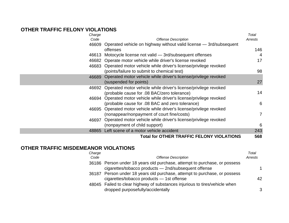#### **OTHER TRAFFIC FELONY VIOLATIONS**

| Charge                                                                      | Total   |
|-----------------------------------------------------------------------------|---------|
| <b>Offense Description</b><br>Code                                          | Arrests |
| Operated vehicle on highway without valid license - 3rd/subsequent<br>46609 |         |
| offenses                                                                    | 146     |
| Motocycle license not valid - 3rd/subsequent offenses<br>46613              | 4       |
| 46682 Operate motor vehicle while driver's license revoked                  | 17      |
| 46683 Operated motor vehicle while driver's license/privilege revoked       |         |
| (points/failure to submit to chemical test)                                 | 98      |
| Operated motor vehicle while driver's license/privilege revoked<br>46689    |         |
| (suspended for points)                                                      | 27      |
| Operated motor vehicle while driver's license/privilege revoked<br>46692    |         |
| (probable cause for .08 BAC/zero tolerance)                                 | 14      |
| Operated motor vehicle while driver's license/privilege revoked<br>46694    |         |
| (probable cause for .08 BAC and zero tolerance)                             | 6       |
| Operated motor vehicle while driver's license/privilege revoked<br>46695    |         |
| (nonappear/nonpayment of court fine/costs)                                  | 7       |
| Operated motor vehicle while driver's license/privilege revoked<br>46697    |         |
| (nonpayment of child support)                                               | 6       |
| Left scene of a motor vehicle accident<br>48865                             | 243     |
| <b>Total for OTHER TRAFFIC FELONY VIOLATIONS</b>                            | 568     |

#### **OTHER TRAFFIC MISDEMEANOR VIOLATIONS** *Charge*

| Charge |                                                                                                                                   | Total   |
|--------|-----------------------------------------------------------------------------------------------------------------------------------|---------|
| Code   | <b>Offense Description</b>                                                                                                        | Arrests |
|        | 36186 Person under 18 years old purchase, attempt to purchase, or possess<br>cigarettes/tobacco products - 2nd/subsequent offense | 1       |
|        | 36187 Person under 18 years old purchase, attempt to purchase, or possess<br>cigarettes/tobacco products - 1st offense            | 42      |
|        | 48045 Failed to clear highway of substances injurious to tires/vehicle when<br>dropped purposefully/accidentally                  | 3       |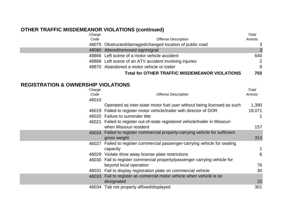# **OTHER TRAFFIC MISDEMEANOR VIOLATIONS (continued)**

| Charge |                                                          | Total   |
|--------|----------------------------------------------------------|---------|
| Code   | <b>Offense Description</b>                               | Arrests |
|        | 48075 Obstructed/damaged/changed location of public road | 3       |
|        | 48080 Altered/removed sign/signal                        | 3       |
|        | 48866 Left scene of a motor vehicle accident             | 640     |
|        | 48868 Left scene of an ATV accident involving injuries   | 2       |
|        | 48870 Abandoned a motor vehicle or trailer               | 9       |
|        | <b>Total for OTHER TRAFFIC MISDEMEANOR VIOLATIONS</b>    | 703     |

#### **REGISTRATION & OWNERSHIP VIOLATIONS**

| Charge<br>Code | <b>Offense Description</b>                                                                       | Total<br>Arrests |
|----------------|--------------------------------------------------------------------------------------------------|------------------|
| 46010          |                                                                                                  |                  |
|                | Operated as inter-state motor fuel user without being licensed as such                           | 1,390            |
|                | 46019 Failed to register motor vehicle/trailer with director of DOR                              | 18,071           |
|                | 46020 Failure to surrender title                                                                 |                  |
| 46021          | Failed to register out-of-state registered vehicle/trailer in Missouri<br>when Missouri resident | 157              |
|                | 46024 Failed to register commercial property-carrying vehicle for sufficient<br>gross weight     | 313              |
| 46027          | Failed to register commercial passenger-carrying vehicle for seating<br>capacity                 |                  |
|                | 46029 Violate drive away license plate restrictions                                              | 6                |
|                | 46030 Fail to register commercial property/passenger carrying vehicle for                        |                  |
|                | beyond local operation                                                                           | 76               |
| 46031          | Fail to display registration plate on commercial vehicle                                         | 30               |
|                | 46033 Fail to register as comercial motor vehicle when vehicle is so                             |                  |
|                | designated                                                                                       | 22               |
|                | 46034 Tab not properly affixed/displayed                                                         | 301              |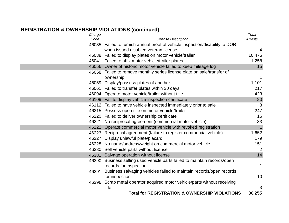#### **REGISTRATION & OWNERSHIP VIOLATIONS (continued)**

| Charge |                                                                              | Total        |
|--------|------------------------------------------------------------------------------|--------------|
| Code   | <b>Offense Description</b>                                                   | Arrests      |
|        | 46035 Failed to furnish annual proof of vehicle inspection/disability to DOR |              |
|        | when issued disabled veteran license                                         | 4            |
|        | 46038 Failed to display plates on motor vehicle/trailer                      | 10,476       |
|        | 46041 Failed to affix motor vehicle/trailer plates                           | 1,258        |
|        | 46056 Owner of historic motor vehicle failed to keep mileage log             | 15           |
|        | 46058 Failed to remove monthly series license plate on sale/transfer of      |              |
|        | ownership                                                                    | 1            |
|        | 46059 Display/possess plates of another                                      | 1,101        |
|        | 46061 Failed to transfer plates within 30 days                               | 217          |
|        | 46094 Operate motor vehicle/trailer without title                            | 423          |
|        | 46109 Fail to display vehicle inspection certificate                         | 80           |
|        | 46112 Failed to have vehicle inspected immediately prior to sale             | 3            |
|        | 46215 Possess open title on motor vehicle/trailer                            | 247          |
|        | 46220 Failed to deliver ownership certificate                                | 16           |
|        | 46221 No reciprocal agreement (commercial motor vehicle)                     | 33           |
|        | 46222 Operate commercial motor vehicle with revoked registration             | $\mathbf{1}$ |
|        | 46223 Reciprocal agreement (failure to register commercial vehicle)          | 1,652        |
|        | 46227 Display unlawful plate/placard                                         | 179          |
|        | 46228 No name/address/weight on commercial motor vehicle                     | 151          |
|        | 46380 Sell vehicle parts without license                                     | 2            |
|        | 46381 Salvage operation without license                                      | 14           |
|        | 46390 Business selling used vehicle parts failed to maintain records/open    |              |
|        | records for inspection                                                       | 1            |
| 46391  | Business salvaging vehicles failed to maintain records/open records          |              |
|        | for inspection                                                               | 10           |
|        | 46396 Scrap metal operator acquired motor vehicle/parts without receiving    |              |
|        | title                                                                        | 3            |
|        | <b>Total for REGISTRATION &amp; OWNERSHIP VIOLATIONS</b>                     | 36,255       |